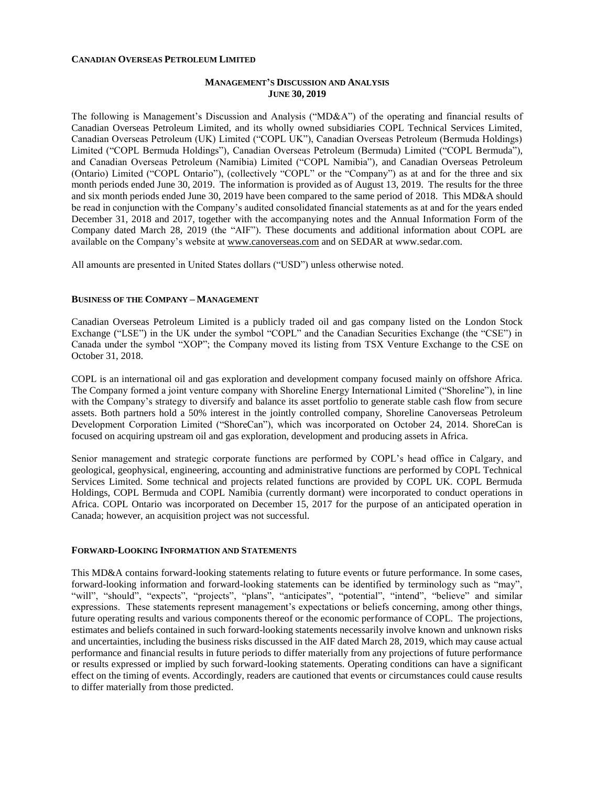### **CANADIAN OVERSEAS PETROLEUM LIMITED**

# **MANAGEMENT'S DISCUSSION AND ANALYSIS JUNE 30, 2019**

The following is Management's Discussion and Analysis ("MD&A") of the operating and financial results of Canadian Overseas Petroleum Limited, and its wholly owned subsidiaries COPL Technical Services Limited, Canadian Overseas Petroleum (UK) Limited ("COPL UK"), Canadian Overseas Petroleum (Bermuda Holdings) Limited ("COPL Bermuda Holdings"), Canadian Overseas Petroleum (Bermuda) Limited ("COPL Bermuda"), and Canadian Overseas Petroleum (Namibia) Limited ("COPL Namibia"), and Canadian Overseas Petroleum (Ontario) Limited ("COPL Ontario"), (collectively "COPL" or the "Company") as at and for the three and six month periods ended June 30, 2019. The information is provided as of August 13, 2019. The results for the three and six month periods ended June 30, 2019 have been compared to the same period of 2018. This MD&A should be read in conjunction with the Company's audited consolidated financial statements as at and for the years ended December 31, 2018 and 2017, together with the accompanying notes and the Annual Information Form of the Company dated March 28, 2019 (the "AIF"). These documents and additional information about COPL are available on the Company's website at [www.canoverseas.com](http://www.canoverseas.com/) and on SEDAR at [www.sedar.com.](http://www.sedar.com/)

All amounts are presented in United States dollars ("USD") unless otherwise noted.

## **BUSINESS OF THE COMPANY – MANAGEMENT**

Canadian Overseas Petroleum Limited is a publicly traded oil and gas company listed on the London Stock Exchange ("LSE") in the UK under the symbol "COPL" and the Canadian Securities Exchange (the "CSE") in Canada under the symbol "XOP"; the Company moved its listing from TSX Venture Exchange to the CSE on October 31, 2018.

COPL is an international oil and gas exploration and development company focused mainly on offshore Africa. The Company formed a joint venture company with Shoreline Energy International Limited ("Shoreline"), in line with the Company's strategy to diversify and balance its asset portfolio to generate stable cash flow from secure assets. Both partners hold a 50% interest in the jointly controlled company, Shoreline Canoverseas Petroleum Development Corporation Limited ("ShoreCan"), which was incorporated on October 24, 2014. ShoreCan is focused on acquiring upstream oil and gas exploration, development and producing assets in Africa.

Senior management and strategic corporate functions are performed by COPL's head office in Calgary, and geological, geophysical, engineering, accounting and administrative functions are performed by COPL Technical Services Limited. Some technical and projects related functions are provided by COPL UK. COPL Bermuda Holdings, COPL Bermuda and COPL Namibia (currently dormant) were incorporated to conduct operations in Africa. COPL Ontario was incorporated on December 15, 2017 for the purpose of an anticipated operation in Canada; however, an acquisition project was not successful.

## **FORWARD-LOOKING INFORMATION AND STATEMENTS**

This MD&A contains forward-looking statements relating to future events or future performance. In some cases, forward-looking information and forward-looking statements can be identified by terminology such as "may", "will", "should", "expects", "projects", "plans", "anticipates", "potential", "intend", "believe" and similar expressions. These statements represent management's expectations or beliefs concerning, among other things, future operating results and various components thereof or the economic performance of COPL. The projections, estimates and beliefs contained in such forward-looking statements necessarily involve known and unknown risks and uncertainties, including the business risks discussed in the AIF dated March 28, 2019, which may cause actual performance and financial results in future periods to differ materially from any projections of future performance or results expressed or implied by such forward-looking statements. Operating conditions can have a significant effect on the timing of events. Accordingly, readers are cautioned that events or circumstances could cause results to differ materially from those predicted.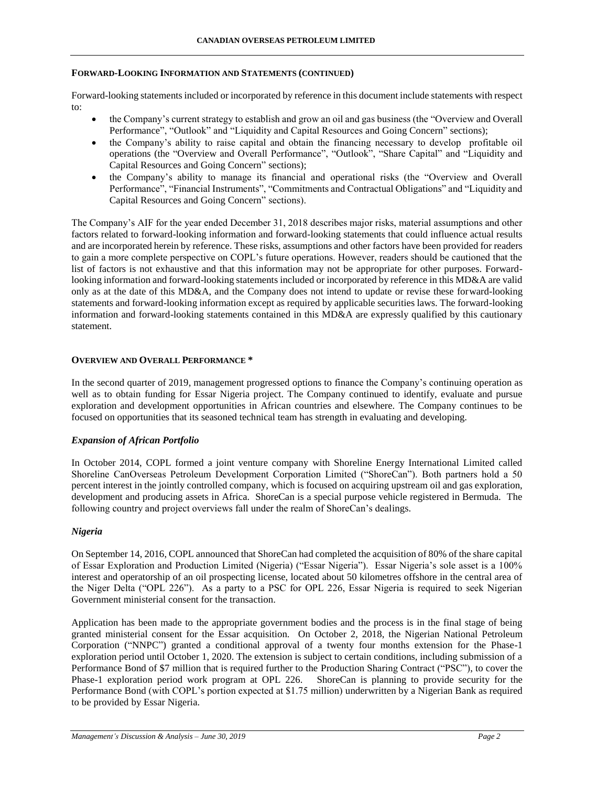## **FORWARD-LOOKING INFORMATION AND STATEMENTS (CONTINUED)**

Forward-looking statements included or incorporated by reference in this document include statements with respect to:

- the Company's current strategy to establish and grow an oil and gas business (the "Overview and Overall Performance", "Outlook" and "Liquidity and Capital Resources and Going Concern" sections);
- the Company's ability to raise capital and obtain the financing necessary to develop profitable oil operations (the "Overview and Overall Performance", "Outlook", "Share Capital" and "Liquidity and Capital Resources and Going Concern" sections);
- the Company's ability to manage its financial and operational risks (the "Overview and Overall Performance", "Financial Instruments", "Commitments and Contractual Obligations" and "Liquidity and Capital Resources and Going Concern" sections).

The Company's AIF for the year ended December 31, 2018 describes major risks, material assumptions and other factors related to forward-looking information and forward-looking statements that could influence actual results and are incorporated herein by reference. These risks, assumptions and other factors have been provided for readers to gain a more complete perspective on COPL's future operations. However, readers should be cautioned that the list of factors is not exhaustive and that this information may not be appropriate for other purposes. Forwardlooking information and forward-looking statements included or incorporated by reference in this MD&A are valid only as at the date of this MD&A, and the Company does not intend to update or revise these forward-looking statements and forward-looking information except as required by applicable securities laws. The forward-looking information and forward-looking statements contained in this MD&A are expressly qualified by this cautionary statement.

# **OVERVIEW AND OVERALL PERFORMANCE \***

In the second quarter of 2019, management progressed options to finance the Company's continuing operation as well as to obtain funding for Essar Nigeria project. The Company continued to identify, evaluate and pursue exploration and development opportunities in African countries and elsewhere. The Company continues to be focused on opportunities that its seasoned technical team has strength in evaluating and developing.

# *Expansion of African Portfolio*

In October 2014, COPL formed a joint venture company with Shoreline Energy International Limited called Shoreline CanOverseas Petroleum Development Corporation Limited ("ShoreCan"). Both partners hold a 50 percent interest in the jointly controlled company, which is focused on acquiring upstream oil and gas exploration, development and producing assets in Africa. ShoreCan is a special purpose vehicle registered in Bermuda. The following country and project overviews fall under the realm of ShoreCan's dealings.

# *Nigeria*

On September 14, 2016, COPL announced that ShoreCan had completed the acquisition of 80% of the share capital of Essar Exploration and Production Limited (Nigeria) ("Essar Nigeria"). Essar Nigeria's sole asset is a 100% interest and operatorship of an oil prospecting license, located about 50 kilometres offshore in the central area of the Niger Delta ("OPL 226"). As a party to a PSC for OPL 226, Essar Nigeria is required to seek Nigerian Government ministerial consent for the transaction.

Application has been made to the appropriate government bodies and the process is in the final stage of being granted ministerial consent for the Essar acquisition. On October 2, 2018, the Nigerian National Petroleum Corporation ("NNPC") granted a conditional approval of a twenty four months extension for the Phase-1 exploration period until October 1, 2020. The extension is subject to certain conditions, including submission of a Performance Bond of \$7 million that is required further to the Production Sharing Contract ("PSC"), to cover the Phase-1 exploration period work program at OPL 226. ShoreCan is planning to provide security for the Performance Bond (with COPL's portion expected at \$1.75 million) underwritten by a Nigerian Bank as required to be provided by Essar Nigeria.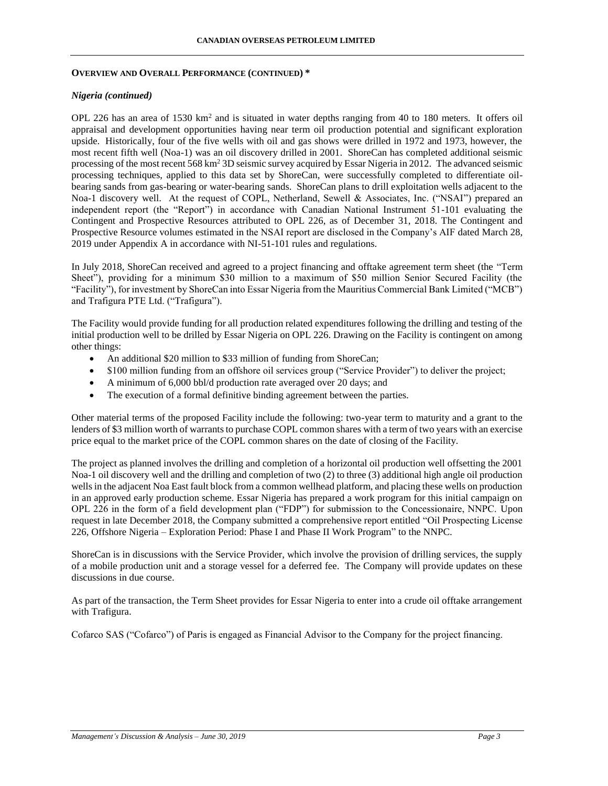#### **OVERVIEW AND OVERALL PERFORMANCE (CONTINUED) \***

### *Nigeria (continued)*

OPL 226 has an area of 1530  $km^2$  and is situated in water depths ranging from 40 to 180 meters. It offers oil appraisal and development opportunities having near term oil production potential and significant exploration upside. Historically, four of the five wells with oil and gas shows were drilled in 1972 and 1973, however, the most recent fifth well (Noa-1) was an oil discovery drilled in 2001. ShoreCan has completed additional seismic processing of the most recent 568 km<sup>2</sup> 3D seismic survey acquired by Essar Nigeria in 2012. The advanced seismic processing techniques, applied to this data set by ShoreCan, were successfully completed to differentiate oilbearing sands from gas-bearing or water-bearing sands. ShoreCan plans to drill exploitation wells adjacent to the Noa-1 discovery well. At the request of COPL, Netherland, Sewell & Associates, Inc. ("NSAI") prepared an independent report (the "Report") in accordance with Canadian National Instrument 51-101 evaluating the Contingent and Prospective Resources attributed to OPL 226, as of December 31, 2018. The Contingent and Prospective Resource volumes estimated in the NSAI report are disclosed in the Company's AIF dated March 28, 2019 under Appendix A in accordance with NI-51-101 rules and regulations.

In July 2018, ShoreCan received and agreed to a project financing and offtake agreement term sheet (the "Term Sheet"), providing for a minimum \$30 million to a maximum of \$50 million Senior Secured Facility (the "Facility"), for investment by ShoreCan into Essar Nigeria from the Mauritius Commercial Bank Limited ("MCB") and Trafigura PTE Ltd. ("Trafigura").

The Facility would provide funding for all production related expenditures following the drilling and testing of the initial production well to be drilled by Essar Nigeria on OPL 226. Drawing on the Facility is contingent on among other things:

- An additional \$20 million to \$33 million of funding from ShoreCan;
- \$100 million funding from an offshore oil services group ("Service Provider") to deliver the project;
- A minimum of 6,000 bbl/d production rate averaged over 20 days; and
- The execution of a formal definitive binding agreement between the parties.

Other material terms of the proposed Facility include the following: two-year term to maturity and a grant to the lenders of \$3 million worth of warrants to purchase COPL common shares with a term of two years with an exercise price equal to the market price of the COPL common shares on the date of closing of the Facility.

The project as planned involves the drilling and completion of a horizontal oil production well offsetting the 2001 Noa-1 oil discovery well and the drilling and completion of two (2) to three (3) additional high angle oil production wells in the adjacent Noa East fault block from a common wellhead platform, and placing these wells on production in an approved early production scheme. Essar Nigeria has prepared a work program for this initial campaign on OPL 226 in the form of a field development plan ("FDP") for submission to the Concessionaire, NNPC. Upon request in late December 2018, the Company submitted a comprehensive report entitled "Oil Prospecting License 226, Offshore Nigeria – Exploration Period: Phase I and Phase II Work Program" to the NNPC.

ShoreCan is in discussions with the Service Provider, which involve the provision of drilling services, the supply of a mobile production unit and a storage vessel for a deferred fee. The Company will provide updates on these discussions in due course.

As part of the transaction, the Term Sheet provides for Essar Nigeria to enter into a crude oil offtake arrangement with Trafigura.

Cofarco SAS ("Cofarco") of Paris is engaged as Financial Advisor to the Company for the project financing.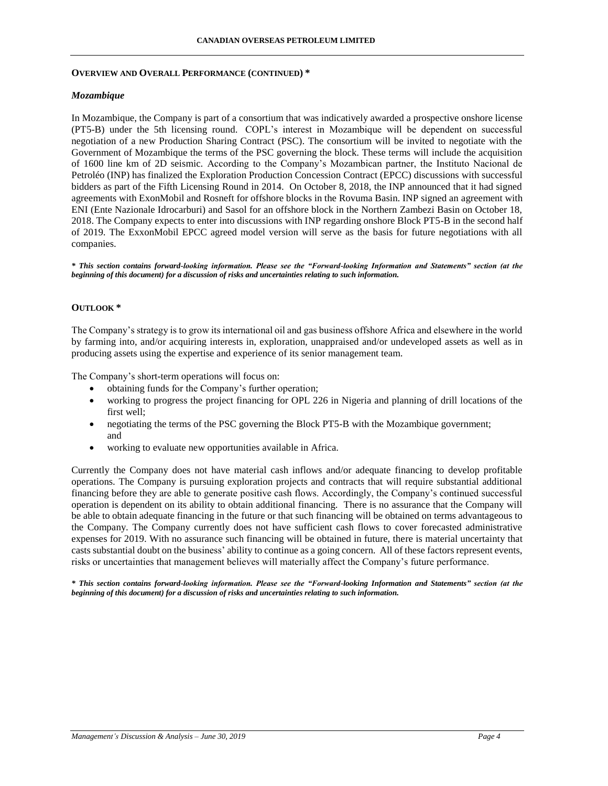## **OVERVIEW AND OVERALL PERFORMANCE (CONTINUED) \***

# *Mozambique*

In Mozambique, the Company is part of a consortium that was indicatively awarded a prospective onshore license (PT5-B) under the 5th licensing round. COPL's interest in Mozambique will be dependent on successful negotiation of a new Production Sharing Contract (PSC). The consortium will be invited to negotiate with the Government of Mozambique the terms of the PSC governing the block. These terms will include the acquisition of 1600 line km of 2D seismic. According to the Company's Mozambican partner, the Instituto Nacional de Petroléo (INP) has finalized the Exploration Production Concession Contract (EPCC) discussions with successful bidders as part of the Fifth Licensing Round in 2014. On October 8, 2018, the INP announced that it had signed agreements with ExonMobil and Rosneft for offshore blocks in the Rovuma Basin. INP signed an agreement with ENI (Ente Nazionale Idrocarburi) and Sasol for an offshore block in the Northern Zambezi Basin on October 18, 2018. The Company expects to enter into discussions with INP regarding onshore Block PT5-B in the second half of 2019. The ExxonMobil EPCC agreed model version will serve as the basis for future negotiations with all companies.

*\* This section contains forward-looking information. Please see the "Forward-looking Information and Statements" section (at the beginning of this document) for a discussion of risks and uncertainties relating to such information.*

# **OUTLOOK \***

The Company's strategy is to grow its international oil and gas business offshore Africa and elsewhere in the world by farming into, and/or acquiring interests in, exploration, unappraised and/or undeveloped assets as well as in producing assets using the expertise and experience of its senior management team.

The Company's short-term operations will focus on:

- obtaining funds for the Company's further operation;
- working to progress the project financing for OPL 226 in Nigeria and planning of drill locations of the first well;
- negotiating the terms of the PSC governing the Block PT5-B with the Mozambique government; and
- working to evaluate new opportunities available in Africa.

Currently the Company does not have material cash inflows and/or adequate financing to develop profitable operations. The Company is pursuing exploration projects and contracts that will require substantial additional financing before they are able to generate positive cash flows. Accordingly, the Company's continued successful operation is dependent on its ability to obtain additional financing. There is no assurance that the Company will be able to obtain adequate financing in the future or that such financing will be obtained on terms advantageous to the Company. The Company currently does not have sufficient cash flows to cover forecasted administrative expenses for 2019. With no assurance such financing will be obtained in future, there is material uncertainty that casts substantial doubt on the business' ability to continue as a going concern. All of these factors represent events, risks or uncertainties that management believes will materially affect the Company's future performance.

*\* This section contains forward-looking information. Please see the "Forward-looking Information and Statements" section (at the beginning of this document) for a discussion of risks and uncertainties relating to such information.*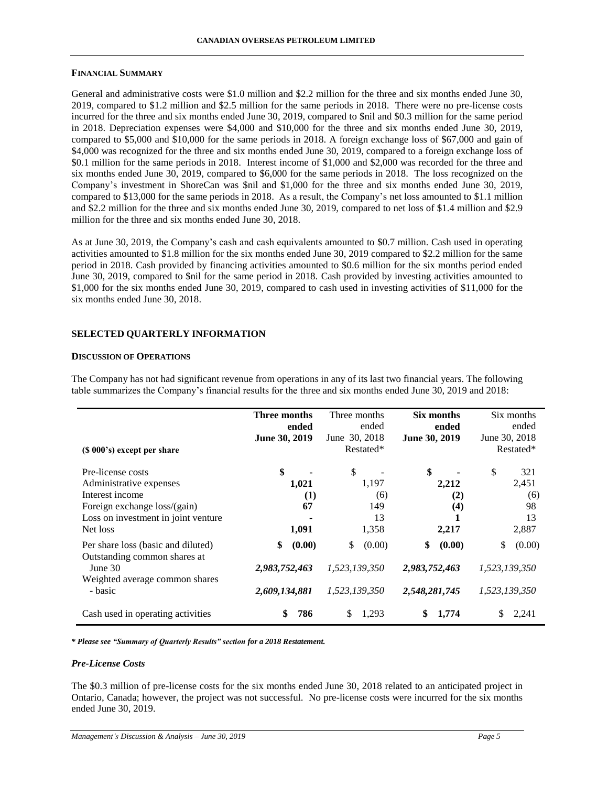#### **FINANCIAL SUMMARY**

General and administrative costs were \$1.0 million and \$2.2 million for the three and six months ended June 30, 2019, compared to \$1.2 million and \$2.5 million for the same periods in 2018. There were no pre-license costs incurred for the three and six months ended June 30, 2019, compared to \$nil and \$0.3 million for the same period in 2018. Depreciation expenses were \$4,000 and \$10,000 for the three and six months ended June 30, 2019, compared to \$5,000 and \$10,000 for the same periods in 2018. A foreign exchange loss of \$67,000 and gain of \$4,000 was recognized for the three and six months ended June 30, 2019, compared to a foreign exchange loss of \$0.1 million for the same periods in 2018. Interest income of \$1,000 and \$2,000 was recorded for the three and six months ended June 30, 2019, compared to \$6,000 for the same periods in 2018. The loss recognized on the Company's investment in ShoreCan was \$nil and \$1,000 for the three and six months ended June 30, 2019, compared to \$13,000 for the same periods in 2018. As a result, the Company's net loss amounted to \$1.1 million and \$2.2 million for the three and six months ended June 30, 2019, compared to net loss of \$1.4 million and \$2.9 million for the three and six months ended June 30, 2018.

As at June 30, 2019, the Company's cash and cash equivalents amounted to \$0.7 million. Cash used in operating activities amounted to \$1.8 million for the six months ended June 30, 2019 compared to \$2.2 million for the same period in 2018. Cash provided by financing activities amounted to \$0.6 million for the six months period ended June 30, 2019, compared to \$nil for the same period in 2018. Cash provided by investing activities amounted to \$1,000 for the six months ended June 30, 2019, compared to cash used in investing activities of \$11,000 for the six months ended June 30, 2018.

## **SELECTED QUARTERLY INFORMATION**

#### **DISCUSSION OF OPERATIONS**

The Company has not had significant revenue from operations in any of its last two financial years. The following table summarizes the Company's financial results for the three and six months ended June 30, 2019 and 2018:

|                                                                    | Three months  | Three months  | Six months    | Six months    |
|--------------------------------------------------------------------|---------------|---------------|---------------|---------------|
|                                                                    | ended         | ended         | ended         | ended         |
|                                                                    | June 30, 2019 | June 30, 2018 | June 30, 2019 | June 30, 2018 |
| (\$ 000's) except per share                                        |               | Restated*     |               | Restated*     |
| Pre-license costs                                                  | \$            | \$            | \$            | \$<br>321     |
| Administrative expenses                                            | 1,021         | 1,197         | 2,212         | 2,451         |
| Interest income                                                    | $\bf(1)$      | (6)           | (2)           | (6)           |
| Foreign exchange loss/(gain)                                       | 67            | 149           | (4)           | 98            |
| Loss on investment in joint venture                                |               | 13            |               | 13            |
| Net loss                                                           | 1,091         | 1,358         | 2,217         | 2,887         |
| Per share loss (basic and diluted)<br>Outstanding common shares at | \$<br>(0.00)  | \$<br>(0.00)  | \$<br>(0.00)  | \$<br>(0.00)  |
| June 30<br>Weighted average common shares                          | 2,983,752,463 | 1,523,139,350 | 2,983,752,463 | 1,523,139,350 |
| - basic                                                            | 2,609,134,881 | 1,523,139,350 | 2,548,281,745 | 1,523,139,350 |
| Cash used in operating activities                                  | \$<br>786     | \$<br>1,293   | \$<br>1,774   | 2,241<br>S    |

*\* Please see "Summary of Quarterly Results" section for a 2018 Restatement.*

#### *Pre-License Costs*

The \$0.3 million of pre-license costs for the six months ended June 30, 2018 related to an anticipated project in Ontario, Canada; however, the project was not successful. No pre-license costs were incurred for the six months ended June 30, 2019.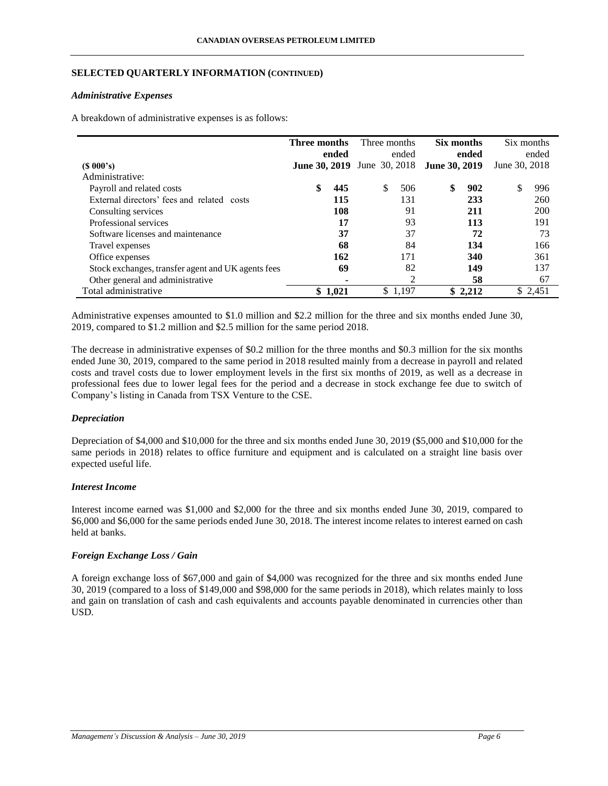# **SELECTED QUARTERLY INFORMATION (CONTINUED)**

## *Administrative Expenses*

A breakdown of administrative expenses is as follows:

|                                                    | Three months         |         | Three months  | Six months           |         | Six months    |          |
|----------------------------------------------------|----------------------|---------|---------------|----------------------|---------|---------------|----------|
|                                                    |                      | ended   | ended         |                      | ended   |               | ended    |
| $(S\ 000's)$                                       | <b>June 30, 2019</b> |         | June 30, 2018 | <b>June 30, 2019</b> |         | June 30, 2018 |          |
| Administrative:                                    |                      |         |               |                      |         |               |          |
| Payroll and related costs                          | S                    | 445     | \$<br>506     | \$                   | 902     | \$            | 996      |
| External directors' fees and related costs         |                      | 115     | 131           |                      | 233     |               | 260      |
| Consulting services                                |                      | 108     | 91            |                      | 211     |               | 200      |
| Professional services                              |                      | 17      | 93            |                      | 113     |               | 191      |
| Software licenses and maintenance                  |                      | 37      | 37            |                      | 72      |               | 73       |
| Travel expenses                                    |                      | 68      | 84            |                      | 134     |               | 166      |
| Office expenses                                    |                      | 162     | 171           |                      | 340     |               | 361      |
| Stock exchanges, transfer agent and UK agents fees |                      | 69      | 82            |                      | 149     |               | 137      |
| Other general and administrative                   |                      |         | 2             |                      | 58      |               | 67       |
| Total administrative                               |                      | \$1,021 | \$1,197       |                      | \$2,212 |               | \$ 2,451 |

Administrative expenses amounted to \$1.0 million and \$2.2 million for the three and six months ended June 30, 2019, compared to \$1.2 million and \$2.5 million for the same period 2018.

The decrease in administrative expenses of \$0.2 million for the three months and \$0.3 million for the six months ended June 30, 2019, compared to the same period in 2018 resulted mainly from a decrease in payroll and related costs and travel costs due to lower employment levels in the first six months of 2019, as well as a decrease in professional fees due to lower legal fees for the period and a decrease in stock exchange fee due to switch of Company's listing in Canada from TSX Venture to the CSE.

# *Depreciation*

Depreciation of \$4,000 and \$10,000 for the three and six months ended June 30, 2019 (\$5,000 and \$10,000 for the same periods in 2018) relates to office furniture and equipment and is calculated on a straight line basis over expected useful life.

## *Interest Income*

Interest income earned was \$1,000 and \$2,000 for the three and six months ended June 30, 2019, compared to \$6,000 and \$6,000 for the same periods ended June 30, 2018. The interest income relates to interest earned on cash held at banks.

# *Foreign Exchange Loss / Gain*

A foreign exchange loss of \$67,000 and gain of \$4,000 was recognized for the three and six months ended June 30, 2019 (compared to a loss of \$149,000 and \$98,000 for the same periods in 2018), which relates mainly to loss and gain on translation of cash and cash equivalents and accounts payable denominated in currencies other than USD.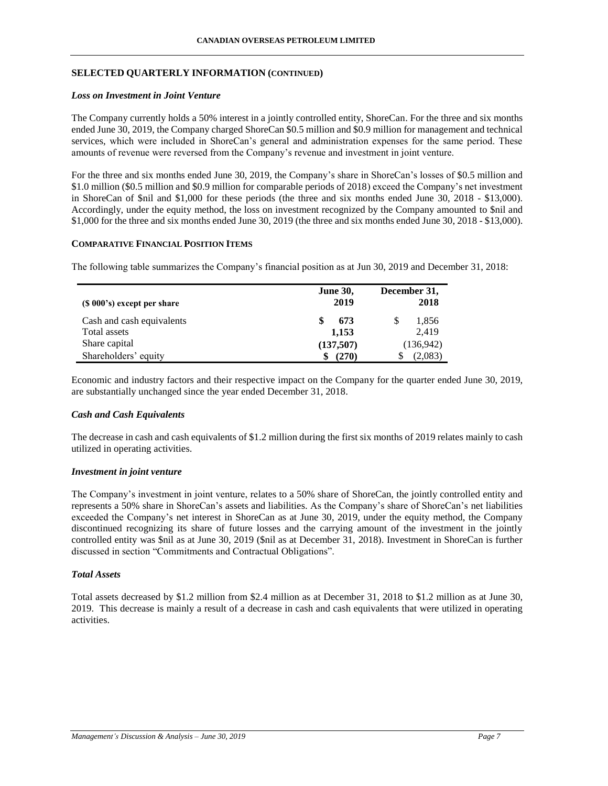# **SELECTED QUARTERLY INFORMATION (CONTINUED)**

### *Loss on Investment in Joint Venture*

The Company currently holds a 50% interest in a jointly controlled entity, ShoreCan. For the three and six months ended June 30, 2019, the Company charged ShoreCan \$0.5 million and \$0.9 million for management and technical services, which were included in ShoreCan's general and administration expenses for the same period. These amounts of revenue were reversed from the Company's revenue and investment in joint venture.

For the three and six months ended June 30, 2019, the Company's share in ShoreCan's losses of \$0.5 million and \$1.0 million (\$0.5 million and \$0.9 million for comparable periods of 2018) exceed the Company's net investment in ShoreCan of \$nil and \$1,000 for these periods (the three and six months ended June 30, 2018 - \$13,000). Accordingly, under the equity method, the loss on investment recognized by the Company amounted to \$nil and \$1,000 for the three and six months ended June 30, 2019 (the three and six months ended June 30, 2018 - \$13,000).

#### **COMPARATIVE FINANCIAL POSITION ITEMS**

The following table summarizes the Company's financial position as at Jun 30, 2019 and December 31, 2018:

| $(S 000's)$ except per share | <b>June 30,</b><br>2019 | December 31,<br>2018 |
|------------------------------|-------------------------|----------------------|
| Cash and cash equivalents    | 673                     | 1,856<br>\$          |
| Total assets                 | 1,153                   | 2,419                |
| Share capital                | (137,507)               | (136,942)            |
| Shareholders' equity         | (270)                   | (2,083)              |

Economic and industry factors and their respective impact on the Company for the quarter ended June 30, 2019, are substantially unchanged since the year ended December 31, 2018.

## *Cash and Cash Equivalents*

The decrease in cash and cash equivalents of \$1.2 million during the first six months of 2019 relates mainly to cash utilized in operating activities.

## *Investment in joint venture*

The Company's investment in joint venture, relates to a 50% share of ShoreCan, the jointly controlled entity and represents a 50% share in ShoreCan's assets and liabilities. As the Company's share of ShoreCan's net liabilities exceeded the Company's net interest in ShoreCan as at June 30, 2019, under the equity method, the Company discontinued recognizing its share of future losses and the carrying amount of the investment in the jointly controlled entity was \$nil as at June 30, 2019 (\$nil as at December 31, 2018). Investment in ShoreCan is further discussed in section "Commitments and Contractual Obligations".

# *Total Assets*

Total assets decreased by \$1.2 million from \$2.4 million as at December 31, 2018 to \$1.2 million as at June 30, 2019. This decrease is mainly a result of a decrease in cash and cash equivalents that were utilized in operating activities.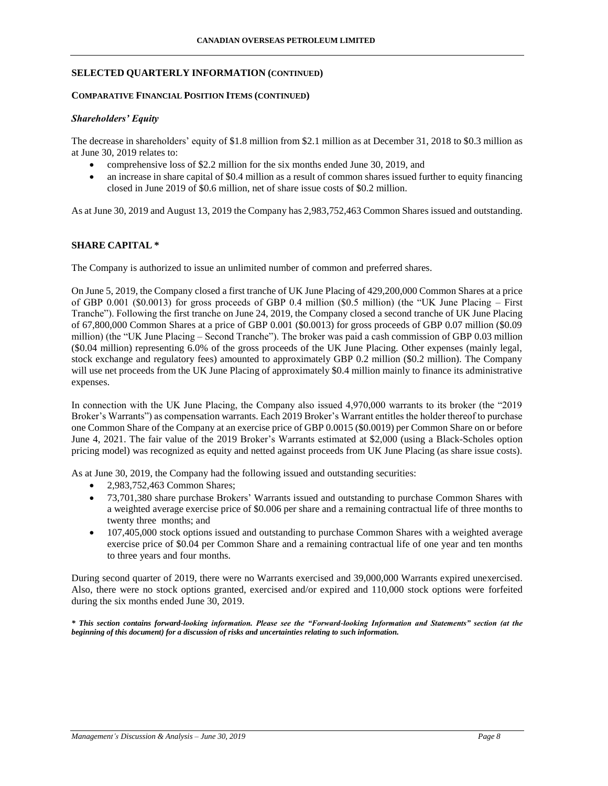#### **SELECTED QUARTERLY INFORMATION (CONTINUED)**

### **COMPARATIVE FINANCIAL POSITION ITEMS (CONTINUED)**

#### *Shareholders' Equity*

The decrease in shareholders' equity of \$1.8 million from \$2.1 million as at December 31, 2018 to \$0.3 million as at June 30, 2019 relates to:

- comprehensive loss of \$2.2 million for the six months ended June 30, 2019, and
- an increase in share capital of \$0.4 million as a result of common shares issued further to equity financing closed in June 2019 of \$0.6 million, net of share issue costs of \$0.2 million.

As at June 30, 2019 and August 13, 2019 the Company has 2,983,752,463 Common Shares issued and outstanding.

# **SHARE CAPITAL \***

The Company is authorized to issue an unlimited number of common and preferred shares.

On June 5, 2019, the Company closed a first tranche of UK June Placing of 429,200,000 Common Shares at a price of GBP 0.001 (\$0.0013) for gross proceeds of GBP 0.4 million (\$0.5 million) (the "UK June Placing – First Tranche"). Following the first tranche on June 24, 2019, the Company closed a second tranche of UK June Placing of 67,800,000 Common Shares at a price of GBP 0.001 (\$0.0013) for gross proceeds of GBP 0.07 million (\$0.09 million) (the "UK June Placing – Second Tranche"). The broker was paid a cash commission of GBP 0.03 million (\$0.04 million) representing 6.0% of the gross proceeds of the UK June Placing. Other expenses (mainly legal, stock exchange and regulatory fees) amounted to approximately GBP 0.2 million (\$0.2 million). The Company will use net proceeds from the UK June Placing of approximately \$0.4 million mainly to finance its administrative expenses.

In connection with the UK June Placing, the Company also issued 4,970,000 warrants to its broker (the "2019 Broker's Warrants") as compensation warrants. Each 2019 Broker's Warrant entitles the holder thereof to purchase one Common Share of the Company at an exercise price of GBP 0.0015 (\$0.0019) per Common Share on or before June 4, 2021. The fair value of the 2019 Broker's Warrants estimated at \$2,000 (using a Black-Scholes option pricing model) was recognized as equity and netted against proceeds from UK June Placing (as share issue costs).

As at June 30, 2019, the Company had the following issued and outstanding securities:

- 2,983,752,463 Common Shares;
- 73,701,380 share purchase Brokers' Warrants issued and outstanding to purchase Common Shares with a weighted average exercise price of \$0.006 per share and a remaining contractual life of three months to twenty three months; and
- 107,405,000 stock options issued and outstanding to purchase Common Shares with a weighted average exercise price of \$0.04 per Common Share and a remaining contractual life of one year and ten months to three years and four months.

During second quarter of 2019, there were no Warrants exercised and 39,000,000 Warrants expired unexercised. Also, there were no stock options granted, exercised and/or expired and 110,000 stock options were forfeited during the six months ended June 30, 2019.

*\* This section contains forward-looking information. Please see the "Forward-looking Information and Statements" section (at the beginning of this document) for a discussion of risks and uncertainties relating to such information.*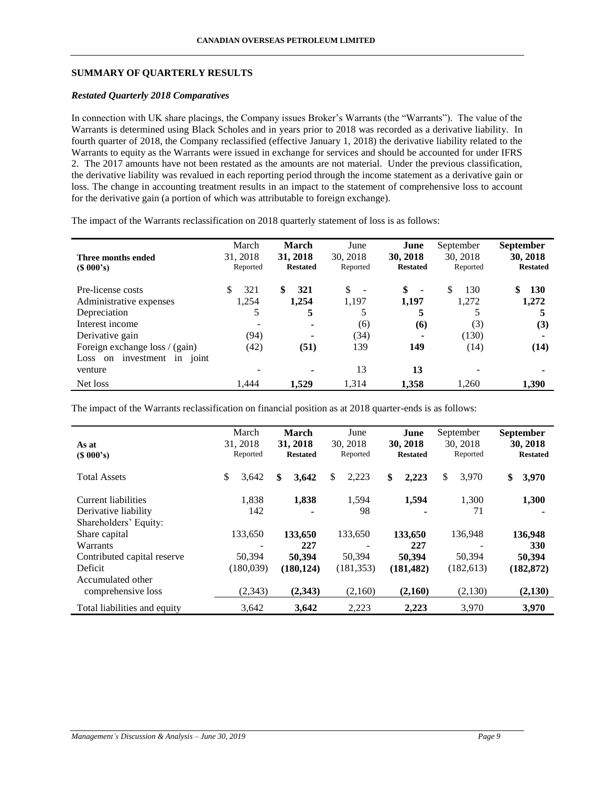# **SUMMARY OF QUARTERLY RESULTS**

## *Restated Quarterly 2018 Comparatives*

In connection with UK share placings, the Company issues Broker's Warrants (the "Warrants"). The value of the Warrants is determined using Black Scholes and in years prior to 2018 was recorded as a derivative liability. In fourth quarter of 2018, the Company reclassified (effective January 1, 2018) the derivative liability related to the Warrants to equity as the Warrants were issued in exchange for services and should be accounted for under IFRS 2. The 2017 amounts have not been restated as the amounts are not material. Under the previous classification, the derivative liability was revalued in each reporting period through the income statement as a derivative gain or loss. The change in accounting treatment results in an impact to the statement of comprehensive loss to account for the derivative gain (a portion of which was attributable to foreign exchange).

The impact of the Warrants reclassification on 2018 quarterly statement of loss is as follows:

| Three months ended<br>$(S\ 000's)$                 | March<br>31, 2018<br>Reported | <b>March</b><br>31, 2018<br><b>Restated</b> | June<br>30, 2018<br>Reported   | June<br>30, 2018<br><b>Restated</b> | September<br>30, 2018<br>Reported | <b>September</b><br>30, 2018<br><b>Restated</b> |
|----------------------------------------------------|-------------------------------|---------------------------------------------|--------------------------------|-------------------------------------|-----------------------------------|-------------------------------------------------|
| Pre-license costs                                  | S<br>321                      | \$<br>321                                   | \$<br>$\overline{\phantom{a}}$ | \$<br>$\blacksquare$                | 130<br>\$                         | <b>130</b>                                      |
| Administrative expenses                            | 1,254                         | 1.254                                       | 1,197                          | 1,197                               | 1,272                             | 1,272                                           |
| Depreciation                                       | 5                             | 5                                           |                                | 5                                   |                                   |                                                 |
| Interest income                                    |                               | ٠                                           | (6)                            | (6)                                 | (3)                               | (3)                                             |
| Derivative gain                                    | (94)                          | ۰                                           | (34)                           | ۰                                   | (130)                             | ۰                                               |
| Foreign exchange loss / (gain)                     | (42)                          | (51)                                        | 139                            | 149                                 | (14)                              | (14)                                            |
| investment<br>in<br>joint<br>Loss<br><sub>on</sub> |                               |                                             |                                |                                     |                                   |                                                 |
| venture                                            |                               | ٠                                           | 13                             | 13                                  |                                   | ۰                                               |
| Net loss                                           | 1.444                         | 1.529                                       | 1,314                          | 1,358                               | 1,260                             | 1,390                                           |

The impact of the Warrants reclassification on financial position as at 2018 quarter-ends is as follows:

| As at<br>(S 000's)                                 | March<br>31, 2018<br>Reported           | <b>March</b><br>31, 2018<br><b>Restated</b> | June<br>30, 2018<br>Reported | June<br>30, 2018<br><b>Restated</b> | September<br>30, 2018<br>Reported | <b>September</b><br>30, 2018<br><b>Restated</b> |
|----------------------------------------------------|-----------------------------------------|---------------------------------------------|------------------------------|-------------------------------------|-----------------------------------|-------------------------------------------------|
| <b>Total Assets</b>                                | \$<br>3,642                             | \$<br>3,642                                 | \$<br>2,223                  | \$<br>2,223                         | \$<br>3,970                       | \$<br>3,970                                     |
| Current liabilities<br>Derivative liability        | 1,838<br>142                            | 1,838                                       | 1,594<br>98                  | 1,594                               | 1,300<br>71                       | 1,300                                           |
| Shareholders' Equity:<br>Share capital<br>Warrants | 133,650<br>$\qquad \qquad \blacksquare$ | 133,650<br>227                              | 133,650                      | 133,650<br>227                      | 136,948                           | 136,948<br>330                                  |
| Contributed capital reserve<br>Deficit             | 50,394<br>(180,039)                     | 50,394<br>(180, 124)                        | 50,394<br>(181, 353)         | 50,394<br>(181, 482)                | 50,394<br>(182, 613)              | 50,394<br>(182, 872)                            |
| Accumulated other<br>comprehensive loss            | (2,343)                                 | (2,343)                                     | (2,160)                      | (2,160)                             | (2,130)                           | (2,130)                                         |
| Total liabilities and equity                       | 3,642                                   | 3.642                                       | 2,223                        | 2,223                               | 3,970                             | 3,970                                           |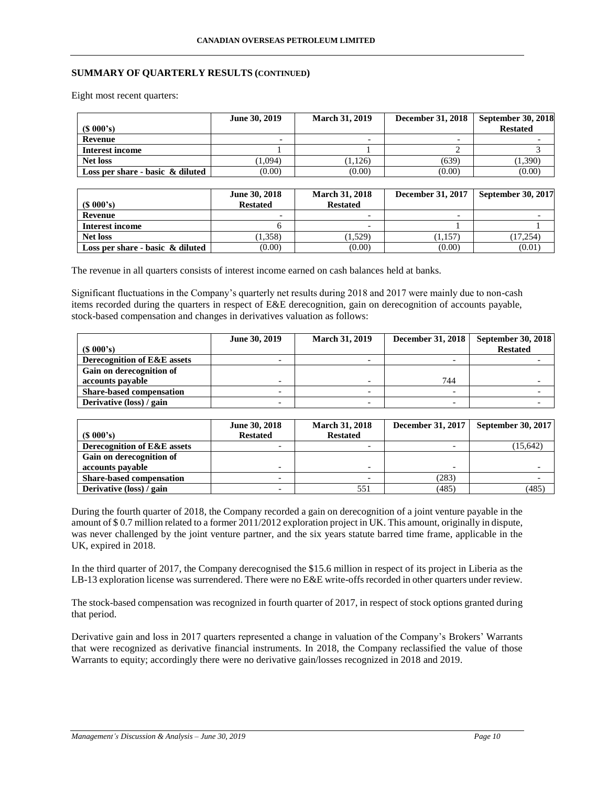# **SUMMARY OF QUARTERLY RESULTS (CONTINUED)**

Eight most recent quarters:

| $(S\ 000's)$                        | June 30, 2019 | <b>March 31, 2019</b>    | December 31, 2018        | <b>September 30, 2018</b><br><b>Restated</b> |
|-------------------------------------|---------------|--------------------------|--------------------------|----------------------------------------------|
| Revenue                             | -             | $\overline{\phantom{0}}$ | $\overline{\phantom{0}}$ |                                              |
| Interest income                     |               |                          |                          |                                              |
| <b>Net loss</b>                     | (1,094)       | (1.126)                  | (639)                    | (1,390)                                      |
| Loss per share - basic $\&$ diluted | (0.00)        | (0.00)                   | (0.00)                   | (0.00)                                       |

|                                     | June 30, 2018   | <b>March 31, 2018</b>    | <b>December 31, 2017</b> | <b>September 30, 2017</b> |
|-------------------------------------|-----------------|--------------------------|--------------------------|---------------------------|
| $(S\ 000's)$                        | <b>Restated</b> | <b>Restated</b>          |                          |                           |
| Revenue                             | -               | $\overline{\phantom{0}}$ | $\overline{\phantom{0}}$ |                           |
| Interest income                     |                 | $\overline{\phantom{0}}$ |                          |                           |
| <b>Net loss</b>                     | 1,358)          | (1,529)                  | (1.157)                  | (17.254)                  |
| Loss per share - basic $\&$ diluted | (0.00)          | (0.00)                   | (0.00)                   | (0.01)                    |

The revenue in all quarters consists of interest income earned on cash balances held at banks.

Significant fluctuations in the Company's quarterly net results during 2018 and 2017 were mainly due to non-cash items recorded during the quarters in respect of E&E derecognition, gain on derecognition of accounts payable, stock-based compensation and changes in derivatives valuation as follows:

| June 30, 2019 | <b>March 31, 2019</b> | <b>December 31, 2018</b> | September 30, 2018 |
|---------------|-----------------------|--------------------------|--------------------|
|               |                       |                          | <b>Restated</b>    |
|               |                       |                          |                    |
|               |                       |                          |                    |
|               |                       | 744                      |                    |
|               |                       |                          |                    |
|               |                       |                          |                    |
|               |                       |                          |                    |

|                                 | June 30, 2018   | <b>March 31, 2018</b> | <b>December 31, 2017</b> | <b>September 30, 2017</b> |
|---------------------------------|-----------------|-----------------------|--------------------------|---------------------------|
| $(S\ 000's)$                    | <b>Restated</b> | <b>Restated</b>       |                          |                           |
| Derecognition of E&E assets     |                 |                       |                          | (15, 642)                 |
| Gain on derecognition of        |                 |                       |                          |                           |
| accounts payable                |                 |                       |                          |                           |
| <b>Share-based compensation</b> | -               |                       | (283)                    |                           |
| Derivative (loss) / gain        |                 | 551                   | (485)                    | (485)                     |

During the fourth quarter of 2018, the Company recorded a gain on derecognition of a joint venture payable in the amount of \$ 0.7 million related to a former 2011/2012 exploration project in UK. This amount, originally in dispute, was never challenged by the joint venture partner, and the six years statute barred time frame, applicable in the UK, expired in 2018.

In the third quarter of 2017, the Company derecognised the \$15.6 million in respect of its project in Liberia as the LB-13 exploration license was surrendered. There were no E&E write-offs recorded in other quarters under review.

The stock-based compensation was recognized in fourth quarter of 2017, in respect of stock options granted during that period.

Derivative gain and loss in 2017 quarters represented a change in valuation of the Company's Brokers' Warrants that were recognized as derivative financial instruments. In 2018, the Company reclassified the value of those Warrants to equity; accordingly there were no derivative gain/losses recognized in 2018 and 2019.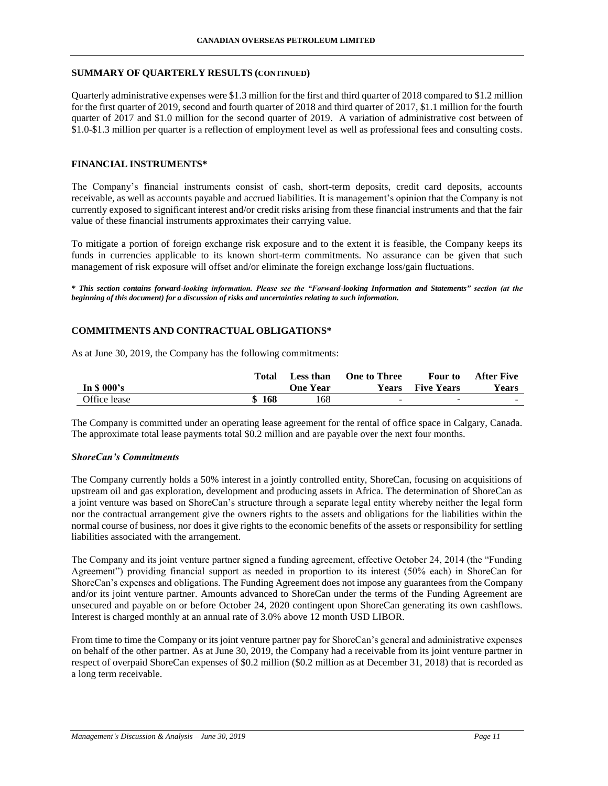# **SUMMARY OF QUARTERLY RESULTS (CONTINUED)**

Quarterly administrative expenses were \$1.3 million for the first and third quarter of 2018 compared to \$1.2 million for the first quarter of 2019, second and fourth quarter of 2018 and third quarter of 2017, \$1.1 million for the fourth quarter of 2017 and \$1.0 million for the second quarter of 2019. A variation of administrative cost between of \$1.0-\$1.3 million per quarter is a reflection of employment level as well as professional fees and consulting costs.

# **FINANCIAL INSTRUMENTS\***

The Company's financial instruments consist of cash, short-term deposits, credit card deposits, accounts receivable, as well as accounts payable and accrued liabilities. It is management's opinion that the Company is not currently exposed to significant interest and/or credit risks arising from these financial instruments and that the fair value of these financial instruments approximates their carrying value.

To mitigate a portion of foreign exchange risk exposure and to the extent it is feasible, the Company keeps its funds in currencies applicable to its known short-term commitments. No assurance can be given that such management of risk exposure will offset and/or eliminate the foreign exchange loss/gain fluctuations.

*\* This section contains forward-looking information. Please see the "Forward-looking Information and Statements" section (at the beginning of this document) for a discussion of risks and uncertainties relating to such information.*

# **COMMITMENTS AND CONTRACTUAL OBLIGATIONS\***

As at June 30, 2019, the Company has the following commitments:

|              | Total | Less than | <b>One to Three</b>      | <b>Four to</b>           | After Five   |
|--------------|-------|-----------|--------------------------|--------------------------|--------------|
| In $$000's$  |       | One Year  | <b>Years</b>             | <b>Five Years</b>        | <b>Years</b> |
| Office lease | \$168 | 168       | $\overline{\phantom{a}}$ | $\overline{\phantom{0}}$ |              |

The Company is committed under an operating lease agreement for the rental of office space in Calgary, Canada. The approximate total lease payments total \$0.2 million and are payable over the next four months.

## *ShoreCan's Commitments*

The Company currently holds a 50% interest in a jointly controlled entity, ShoreCan, focusing on acquisitions of upstream oil and gas exploration, development and producing assets in Africa. The determination of ShoreCan as a joint venture was based on ShoreCan's structure through a separate legal entity whereby neither the legal form nor the contractual arrangement give the owners rights to the assets and obligations for the liabilities within the normal course of business, nor does it give rights to the economic benefits of the assets or responsibility for settling liabilities associated with the arrangement.

The Company and its joint venture partner signed a funding agreement, effective October 24, 2014 (the "Funding Agreement") providing financial support as needed in proportion to its interest (50% each) in ShoreCan for ShoreCan's expenses and obligations. The Funding Agreement does not impose any guarantees from the Company and/or its joint venture partner. Amounts advanced to ShoreCan under the terms of the Funding Agreement are unsecured and payable on or before October 24, 2020 contingent upon ShoreCan generating its own cashflows. Interest is charged monthly at an annual rate of 3.0% above 12 month USD LIBOR.

From time to time the Company or its joint venture partner pay for ShoreCan's general and administrative expenses on behalf of the other partner. As at June 30, 2019, the Company had a receivable from its joint venture partner in respect of overpaid ShoreCan expenses of \$0.2 million (\$0.2 million as at December 31, 2018) that is recorded as a long term receivable.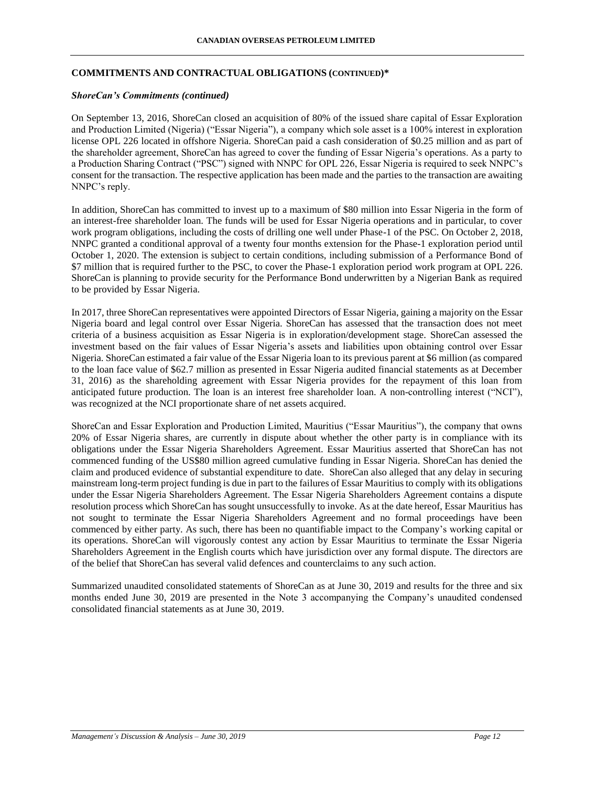# **COMMITMENTS AND CONTRACTUAL OBLIGATIONS (CONTINUED)\***

### *ShoreCan's Commitments (continued)*

On September 13, 2016, ShoreCan closed an acquisition of 80% of the issued share capital of Essar Exploration and Production Limited (Nigeria) ("Essar Nigeria"), a company which sole asset is a 100% interest in exploration license OPL 226 located in offshore Nigeria. ShoreCan paid a cash consideration of \$0.25 million and as part of the shareholder agreement, ShoreCan has agreed to cover the funding of Essar Nigeria's operations. As a party to a Production Sharing Contract ("PSC") signed with NNPC for OPL 226, Essar Nigeria is required to seek NNPC's consent for the transaction. The respective application has been made and the parties to the transaction are awaiting NNPC's reply.

In addition, ShoreCan has committed to invest up to a maximum of \$80 million into Essar Nigeria in the form of an interest-free shareholder loan. The funds will be used for Essar Nigeria operations and in particular, to cover work program obligations, including the costs of drilling one well under Phase-1 of the PSC. On October 2, 2018, NNPC granted a conditional approval of a twenty four months extension for the Phase-1 exploration period until October 1, 2020. The extension is subject to certain conditions, including submission of a Performance Bond of \$7 million that is required further to the PSC, to cover the Phase-1 exploration period work program at OPL 226. ShoreCan is planning to provide security for the Performance Bond underwritten by a Nigerian Bank as required to be provided by Essar Nigeria.

In 2017, three ShoreCan representatives were appointed Directors of Essar Nigeria, gaining a majority on the Essar Nigeria board and legal control over Essar Nigeria. ShoreCan has assessed that the transaction does not meet criteria of a business acquisition as Essar Nigeria is in exploration/development stage. ShoreCan assessed the investment based on the fair values of Essar Nigeria's assets and liabilities upon obtaining control over Essar Nigeria. ShoreCan estimated a fair value of the Essar Nigeria loan to its previous parent at \$6 million (as compared to the loan face value of \$62.7 million as presented in Essar Nigeria audited financial statements as at December 31, 2016) as the shareholding agreement with Essar Nigeria provides for the repayment of this loan from anticipated future production. The loan is an interest free shareholder loan. A non-controlling interest ("NCI"), was recognized at the NCI proportionate share of net assets acquired.

ShoreCan and Essar Exploration and Production Limited, Mauritius ("Essar Mauritius"), the company that owns 20% of Essar Nigeria shares, are currently in dispute about whether the other party is in compliance with its obligations under the Essar Nigeria Shareholders Agreement. Essar Mauritius asserted that ShoreCan has not commenced funding of the US\$80 million agreed cumulative funding in Essar Nigeria. ShoreCan has denied the claim and produced evidence of substantial expenditure to date. ShoreCan also alleged that any delay in securing mainstream long-term project funding is due in part to the failures of Essar Mauritius to comply with its obligations under the Essar Nigeria Shareholders Agreement. The Essar Nigeria Shareholders Agreement contains a dispute resolution process which ShoreCan has sought unsuccessfully to invoke. As at the date hereof, Essar Mauritius has not sought to terminate the Essar Nigeria Shareholders Agreement and no formal proceedings have been commenced by either party. As such, there has been no quantifiable impact to the Company's working capital or its operations. ShoreCan will vigorously contest any action by Essar Mauritius to terminate the Essar Nigeria Shareholders Agreement in the English courts which have jurisdiction over any formal dispute. The directors are of the belief that ShoreCan has several valid defences and counterclaims to any such action.

Summarized unaudited consolidated statements of ShoreCan as at June 30, 2019 and results for the three and six months ended June 30, 2019 are presented in the Note 3 accompanying the Company's unaudited condensed consolidated financial statements as at June 30, 2019.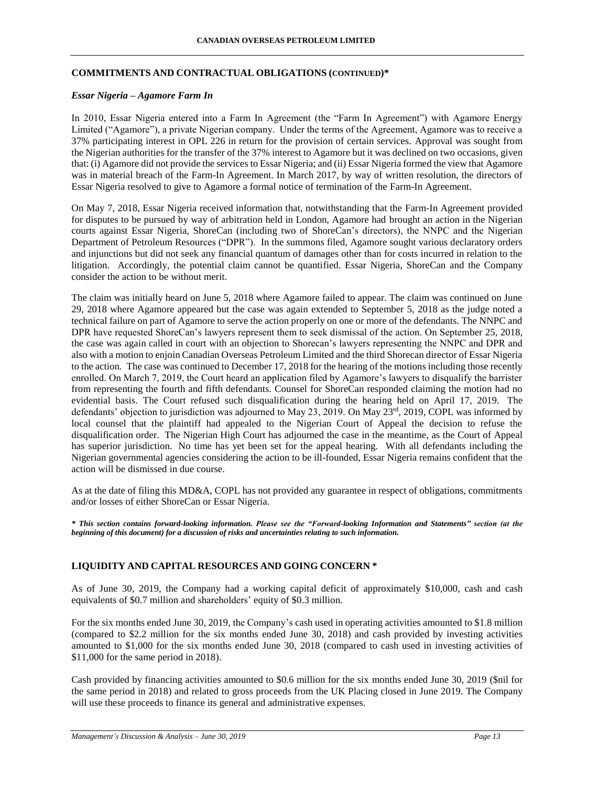# **COMMITMENTS AND CONTRACTUAL OBLIGATIONS (CONTINUED)\***

## *Essar Nigeria – Agamore Farm In*

In 2010, Essar Nigeria entered into a Farm In Agreement (the "Farm In Agreement") with Agamore Energy Limited ("Agamore"), a private Nigerian company. Under the terms of the Agreement, Agamore was to receive a 37% participating interest in OPL 226 in return for the provision of certain services. Approval was sought from the Nigerian authorities for the transfer of the 37% interest to Agamore but it was declined on two occasions, given that: (i) Agamore did not provide the services to Essar Nigeria; and (ii) Essar Nigeria formed the view that Agamore was in material breach of the Farm-In Agreement. In March 2017, by way of written resolution, the directors of Essar Nigeria resolved to give to Agamore a formal notice of termination of the Farm-In Agreement.

On May 7, 2018, Essar Nigeria received information that, notwithstanding that the Farm-In Agreement provided for disputes to be pursued by way of arbitration held in London, Agamore had brought an action in the Nigerian courts against Essar Nigeria, ShoreCan (including two of ShoreCan's directors), the NNPC and the Nigerian Department of Petroleum Resources ("DPR"). In the summons filed, Agamore sought various declaratory orders and injunctions but did not seek any financial quantum of damages other than for costs incurred in relation to the litigation. Accordingly, the potential claim cannot be quantified. Essar Nigeria, ShoreCan and the Company consider the action to be without merit.

The claim was initially heard on June 5, 2018 where Agamore failed to appear. The claim was continued on June 29, 2018 where Agamore appeared but the case was again extended to September 5, 2018 as the judge noted a technical failure on part of Agamore to serve the action properly on one or more of the defendants. The NNPC and DPR have requested ShoreCan's lawyers represent them to seek dismissal of the action. On September 25, 2018, the case was again called in court with an objection to Shorecan's lawyers representing the NNPC and DPR and also with a motion to enjoin Canadian Overseas Petroleum Limited and the third Shorecan director of Essar Nigeria to the action. The case was continued to December 17, 2018 for the hearing of the motions including those recently enrolled. On March 7, 2019, the Court heard an application filed by Agamore's lawyers to disqualify the barrister from representing the fourth and fifth defendants. Counsel for ShoreCan responded claiming the motion had no evidential basis. The Court refused such disqualification during the hearing held on April 17, 2019. The defendants' objection to jurisdiction was adjourned to May 23, 2019. On May 23rd, 2019, COPL was informed by local counsel that the plaintiff had appealed to the Nigerian Court of Appeal the decision to refuse the disqualification order. The Nigerian High Court has adjourned the case in the meantime, as the Court of Appeal has superior jurisdiction. No time has yet been set for the appeal hearing. With all defendants including the Nigerian governmental agencies considering the action to be ill-founded, Essar Nigeria remains confident that the action will be dismissed in due course.

As at the date of filing this MD&A, COPL has not provided any guarantee in respect of obligations, commitments and/or losses of either ShoreCan or Essar Nigeria.

*\* This section contains forward-looking information. Please see the "Forward-looking Information and Statements" section (at the beginning of this document) for a discussion of risks and uncertainties relating to such information.*

# **LIQUIDITY AND CAPITAL RESOURCES AND GOING CONCERN \***

As of June 30, 2019, the Company had a working capital deficit of approximately \$10,000, cash and cash equivalents of \$0.7 million and shareholders' equity of \$0.3 million.

For the six months ended June 30, 2019, the Company's cash used in operating activities amounted to \$1.8 million (compared to \$2.2 million for the six months ended June 30, 2018) and cash provided by investing activities amounted to \$1,000 for the six months ended June 30, 2018 (compared to cash used in investing activities of \$11,000 for the same period in 2018).

Cash provided by financing activities amounted to \$0.6 million for the six months ended June 30, 2019 (\$nil for the same period in 2018) and related to gross proceeds from the UK Placing closed in June 2019. The Company will use these proceeds to finance its general and administrative expenses.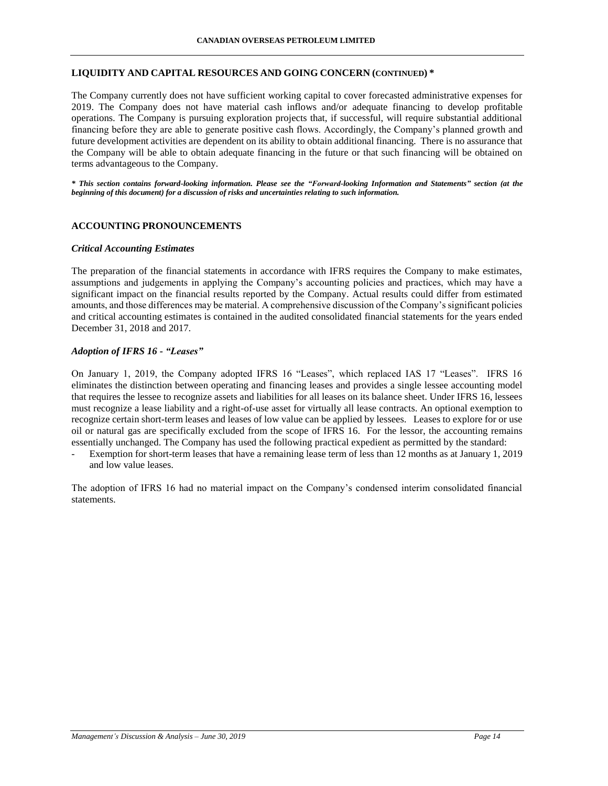## **LIQUIDITY AND CAPITAL RESOURCES AND GOING CONCERN (CONTINUED) \***

The Company currently does not have sufficient working capital to cover forecasted administrative expenses for 2019. The Company does not have material cash inflows and/or adequate financing to develop profitable operations. The Company is pursuing exploration projects that, if successful, will require substantial additional financing before they are able to generate positive cash flows. Accordingly, the Company's planned growth and future development activities are dependent on its ability to obtain additional financing. There is no assurance that the Company will be able to obtain adequate financing in the future or that such financing will be obtained on terms advantageous to the Company.

*\* This section contains forward-looking information. Please see the "Forward-looking Information and Statements" section (at the beginning of this document) for a discussion of risks and uncertainties relating to such information.*

## **ACCOUNTING PRONOUNCEMENTS**

#### *Critical Accounting Estimates*

The preparation of the financial statements in accordance with IFRS requires the Company to make estimates, assumptions and judgements in applying the Company's accounting policies and practices, which may have a significant impact on the financial results reported by the Company. Actual results could differ from estimated amounts, and those differences may be material. A comprehensive discussion of the Company's significant policies and critical accounting estimates is contained in the audited consolidated financial statements for the years ended December 31, 2018 and 2017.

#### *Adoption of IFRS 16 - "Leases"*

On January 1, 2019, the Company adopted IFRS 16 "Leases", which replaced IAS 17 "Leases". IFRS 16 eliminates the distinction between operating and financing leases and provides a single lessee accounting model that requires the lessee to recognize assets and liabilities for all leases on its balance sheet. Under IFRS 16, lessees must recognize a lease liability and a right-of-use asset for virtually all lease contracts. An optional exemption to recognize certain short-term leases and leases of low value can be applied by lessees. Leases to explore for or use oil or natural gas are specifically excluded from the scope of IFRS 16. For the lessor, the accounting remains essentially unchanged. The Company has used the following practical expedient as permitted by the standard:

Exemption for short-term leases that have a remaining lease term of less than 12 months as at January 1, 2019 and low value leases.

The adoption of IFRS 16 had no material impact on the Company's condensed interim consolidated financial statements.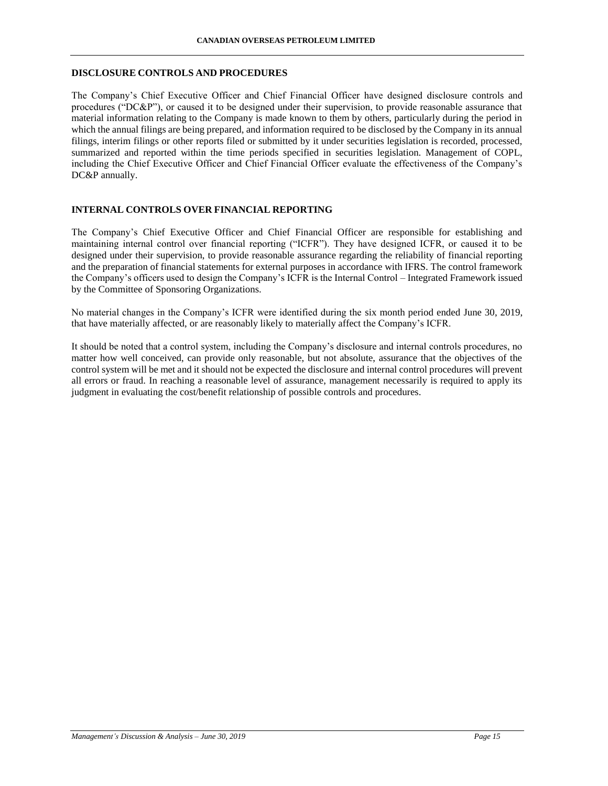### **DISCLOSURE CONTROLS AND PROCEDURES**

The Company's Chief Executive Officer and Chief Financial Officer have designed disclosure controls and procedures ("DC&P"), or caused it to be designed under their supervision, to provide reasonable assurance that material information relating to the Company is made known to them by others, particularly during the period in which the annual filings are being prepared, and information required to be disclosed by the Company in its annual filings, interim filings or other reports filed or submitted by it under securities legislation is recorded, processed, summarized and reported within the time periods specified in securities legislation. Management of COPL, including the Chief Executive Officer and Chief Financial Officer evaluate the effectiveness of the Company's DC&P annually.

## **INTERNAL CONTROLS OVER FINANCIAL REPORTING**

The Company's Chief Executive Officer and Chief Financial Officer are responsible for establishing and maintaining internal control over financial reporting ("ICFR"). They have designed ICFR, or caused it to be designed under their supervision, to provide reasonable assurance regarding the reliability of financial reporting and the preparation of financial statements for external purposes in accordance with IFRS. The control framework the Company's officers used to design the Company's ICFR is the Internal Control – Integrated Framework issued by the Committee of Sponsoring Organizations.

No material changes in the Company's ICFR were identified during the six month period ended June 30, 2019, that have materially affected, or are reasonably likely to materially affect the Company's ICFR.

It should be noted that a control system, including the Company's disclosure and internal controls procedures, no matter how well conceived, can provide only reasonable, but not absolute, assurance that the objectives of the control system will be met and it should not be expected the disclosure and internal control procedures will prevent all errors or fraud. In reaching a reasonable level of assurance, management necessarily is required to apply its judgment in evaluating the cost/benefit relationship of possible controls and procedures.